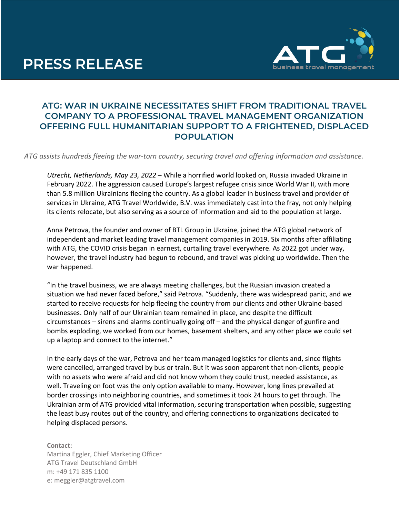## **PRESS RELEASE**



## **ATG: WAR IN UKRAINE NECESSITATES SHIFT FROM TRADITIONAL TRAVEL COMPANY TO A PROFESSIONAL TRAVEL MANAGEMENT ORGANIZATION OFFERING FULL HUMANITARIAN SUPPORT TO A FRIGHTENED, DISPLACED POPULATION**

*ATG assists hundreds fleeing the war-torn country, securing travel and offering information and assistance.*

*Utrecht, Netherlands, May 23, 2022* – While a horrified world looked on, Russia invaded Ukraine in February 2022. The aggression caused Europe's largest refugee crisis since World War II, with more than 5.8 million Ukrainians fleeing the country. As a global leader in business travel and provider of services in Ukraine, ATG Travel Worldwide, B.V. was immediately cast into the fray, not only helping its clients relocate, but also serving as a source of information and aid to the population at large.

Anna Petrova, the founder and owner of BTL Group in Ukraine, joined the ATG global network of independent and market leading travel management companies in 2019. Six months after affiliating with ATG, the COVID crisis began in earnest, curtailing travel everywhere. As 2022 got under way, however, the travel industry had begun to rebound, and travel was picking up worldwide. Then the war happened.

"In the travel business, we are always meeting challenges, but the Russian invasion created a situation we had never faced before," said Petrova. "Suddenly, there was widespread panic, and we started to receive requests for help fleeing the country from our clients and other Ukraine-based businesses. Only half of our Ukrainian team remained in place, and despite the difficult circumstances – sirens and alarms continually going off – and the physical danger of gunfire and bombs exploding, we worked from our homes, basement shelters, and any other place we could set up a laptop and connect to the internet."

In the early days of the war, Petrova and her team managed logistics for clients and, since flights were cancelled, arranged travel by bus or train. But it was soon apparent that non-clients, people with no assets who were afraid and did not know whom they could trust, needed assistance, as well. Traveling on foot was the only option available to many. However, long lines prevailed at border crossings into neighboring countries, and sometimes it took 24 hours to get through. The Ukrainian arm of ATG provided vital information, securing transportation when possible, suggesting the least busy routes out of the country, and offering connections to organizations dedicated to helping displaced persons.

**Contact:** Martina Eggler, Chief Marketing Officer ATG Travel Deutschland GmbH m: +49 171 835 1100 e: meggler@atgtravel.com